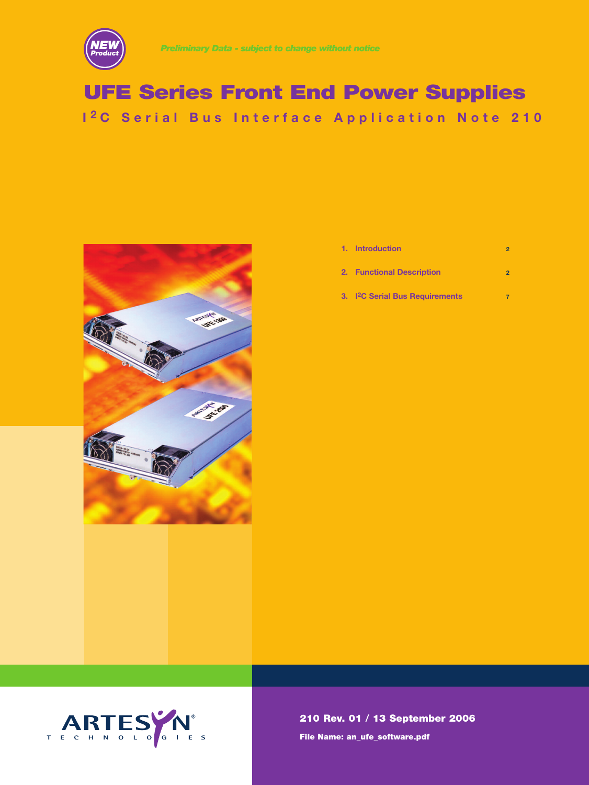

## **UFE Series Front End Power Supplies I 2 C Serial Bus Interface Application Note 210**



| 1. Introduction           |  |
|---------------------------|--|
| 2. Functional Description |  |

**3. I2C Serial Bus Requirements 7**



**210 Rev. 01 / 13 September 2006 File Name: an\_ufe\_software.pdf**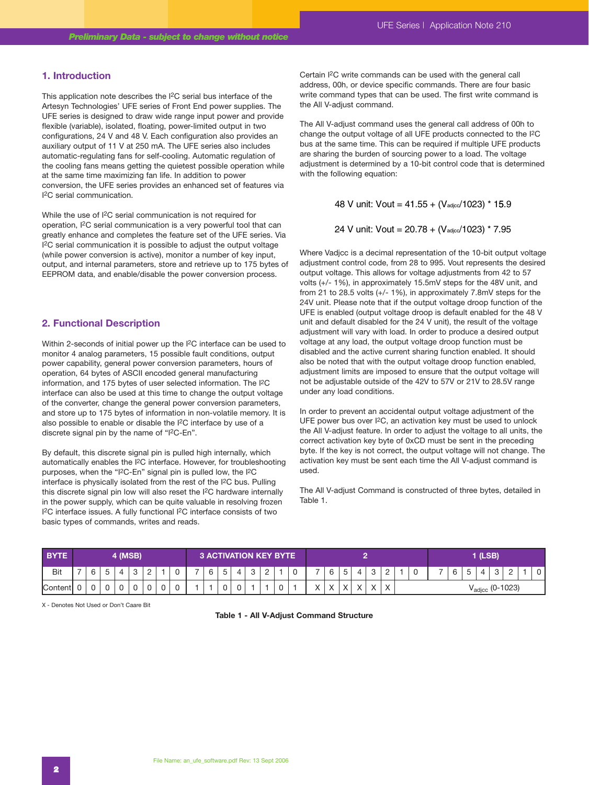#### **1. Introduction**

This application note describes the I2C serial bus interface of the Artesyn Technologies' UFE series of Front End power supplies. The UFE series is designed to draw wide range input power and provide flexible (variable), isolated, floating, power-limited output in two configurations, 24 V and 48 V. Each configuration also provides an auxiliary output of 11 V at 250 mA. The UFE series also includes automatic-regulating fans for self-cooling. Automatic regulation of the cooling fans means getting the quietest possible operation while at the same time maximizing fan life. In addition to power conversion, the UFE series provides an enhanced set of features via I2C serial communication.

While the use of <sup>[2</sup>C serial communication is not required for operation, I2C serial communication is a very powerful tool that can greatly enhance and completes the feature set of the UFE series. Via I2C serial communication it is possible to adjust the output voltage (while power conversion is active), monitor a number of key input, output, and internal parameters, store and retrieve up to 175 bytes of EEPROM data, and enable/disable the power conversion process.

## **2. Functional Description**

Within 2-seconds of initial power up the I2C interface can be used to monitor 4 analog parameters, 15 possible fault conditions, output power capability, general power conversion parameters, hours of operation, 64 bytes of ASCII encoded general manufacturing information, and 175 bytes of user selected information. The I2C interface can also be used at this time to change the output voltage of the converter, change the general power conversion parameters, and store up to 175 bytes of information in non-volatile memory. It is also possible to enable or disable the I2C interface by use of a discrete signal pin by the name of "I2C-En".

By default, this discrete signal pin is pulled high internally, which automatically enables the I2C interface. However, for troubleshooting purposes, when the "I2C-En" signal pin is pulled low, the I2C interface is physically isolated from the rest of the I2C bus. Pulling this discrete signal pin low will also reset the I<sup>2</sup>C hardware internally in the power supply, which can be quite valuable in resolving frozen I2C interface issues. A fully functional I2C interface consists of two basic types of commands, writes and reads.

Certain I2C write commands can be used with the general call address, 00h, or device specific commands. There are four basic write command types that can be used. The first write command is the All V-adjust command.

The All V-adjust command uses the general call address of 00h to change the output voltage of all UFE products connected to the I2C bus at the same time. This can be required if multiple UFE products are sharing the burden of sourcing power to a load. The voltage adjustment is determined by a 10-bit control code that is determined with the following equation:

48 V unit: Vout =  $41.55 + (V_{\text{adic}}/1023) * 15.9$ 

24 V unit: Vout = 
$$
20.78 + (V_{\text{adicc}}/1023) * 7.95
$$

Where Vadjcc is a decimal representation of the 10-bit output voltage adjustment control code, from 28 to 995. Vout represents the desired output voltage. This allows for voltage adjustments from 42 to 57 volts (+/- 1%), in approximately 15.5mV steps for the 48V unit, and from 21 to 28.5 volts (+/- 1%), in approximately 7.8mV steps for the 24V unit. Please note that if the output voltage droop function of the UFE is enabled (output voltage droop is default enabled for the 48 V unit and default disabled for the 24 V unit), the result of the voltage adjustment will vary with load. In order to produce a desired output voltage at any load, the output voltage droop function must be disabled and the active current sharing function enabled. It should also be noted that with the output voltage droop function enabled, adjustment limits are imposed to ensure that the output voltage will not be adjustable outside of the 42V to 57V or 21V to 28.5V range under any load conditions.

In order to prevent an accidental output voltage adjustment of the UFE power bus over I2C, an activation key must be used to unlock the All V-adjust feature. In order to adjust the voltage to all units, the correct activation key byte of 0xCD must be sent in the preceding byte. If the key is not correct, the output voltage will not change. The activation key must be sent each time the All V-adjust command is used.

The All V-adjust Command is constructed of three bytes, detailed in Table 1.

| <b>BYTE</b> | (MSB) |   |  |  |  |   |  |   |   |              | <b>B ACTIVATION KEY BYTE !</b> |   |   |   |   |                         |                        |                        |                        |          | (LSB) |  |  |  |                    |      |       |  |  |
|-------------|-------|---|--|--|--|---|--|---|---|--------------|--------------------------------|---|---|---|---|-------------------------|------------------------|------------------------|------------------------|----------|-------|--|--|--|--------------------|------|-------|--|--|
| <b>Bit</b>  |       |   |  |  |  |   |  |   | 6 | <sub>5</sub> | 4                              | ూ | ∸ |   | U | 6                       | <sub>5</sub>           |                        | J                      | <u>_</u> | ັບ    |  |  |  | 4                  | ັ    | -     |  |  |
| Content     | ັ     | ັ |  |  |  | ັ |  | v |   | $\sim$<br>U  | U                              |   |   | ັ |   | $\sqrt{}$<br>$\sqrt{ }$ | $\sqrt{}$<br>$\Lambda$ | $\sqrt{}$<br>$\Lambda$ | $\lambda$<br>$\lambda$ |          |       |  |  |  | <sup>v</sup> adicc | (Q-1 | 1023' |  |  |

X - Denotes Not Used or Don't Caare Bit

#### **Table 1 - All V-Adjust Command Structure**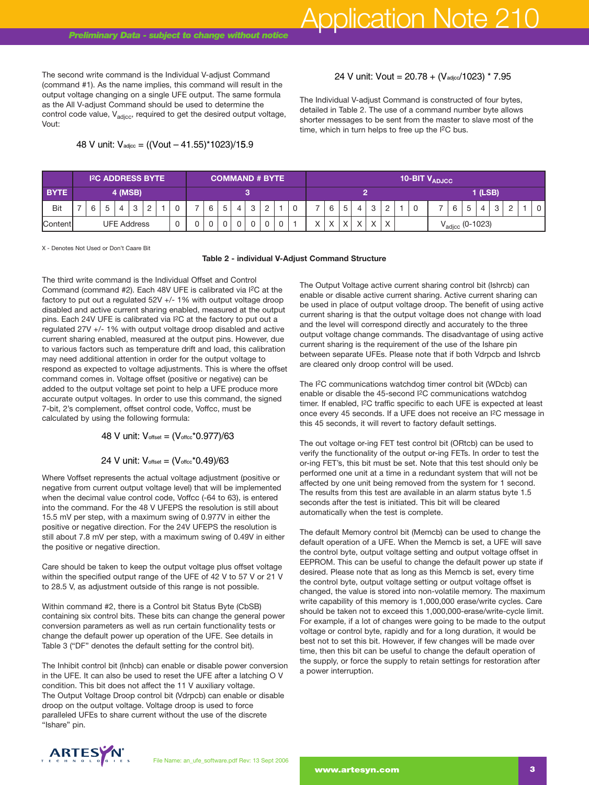The second write command is the Individual V-adjust Command (command #1). As the name implies, this command will result in the output voltage changing on a single UFE output. The same formula as the All V-adjust Command should be used to determine the control code value,  $V_{\text{adic}}$ , required to get the desired output voltage, Vout: 48 V unit: Vout = 20.78 + (Vadjec/1023) \* 7.95<br>
44 V unit: Vout = 20.78 + (Vadjec/1023) \* 7.95<br>
44 V unit: Vout = 20.78 + (Vadjec/1023) \* 7.95<br>
48 V unit: Command should be used to determine the<br>
48 V unit: Vadjec, requir

The Individual V-adjust Command is constructed of four bytes, detailed in Table 2. The use of a command number byte allows shorter messages to be sent from the master to slave most of the time, which in turn helps to free up the I2C bus.

|                | <b>I<sup>2</sup>C ADDRESS BYTE</b> |  |  |  |                    |  |        |  |  |  | <b>COMMAND # BYTE</b> ' |        |        |  |  |   |                                                                |  |   |  |   | 10-BIT $V_{ADJCC}$ |           |  |                                                                             |   |   |   |  |                    |  |  |
|----------------|------------------------------------|--|--|--|--------------------|--|--------|--|--|--|-------------------------|--------|--------|--|--|---|----------------------------------------------------------------|--|---|--|---|--------------------|-----------|--|-----------------------------------------------------------------------------|---|---|---|--|--------------------|--|--|
| <b>BYTE</b>    | 4 (MSB)                            |  |  |  |                    |  |        |  |  |  |                         |        |        |  |  |   |                                                                |  |   |  |   |                    | $1$ (LSB) |  |                                                                             |   |   |   |  |                    |  |  |
| <b>Bit</b>     | 6                                  |  |  |  |                    |  | 5<br>6 |  |  |  |                         |        |        |  |  | U |                                                                |  | 5 |  | C | C                  |           |  |                                                                             | 6 | 5 | 4 |  | $\sim$<br><u>.</u> |  |  |
| <b>Content</b> |                                    |  |  |  | <b>UFE Address</b> |  |        |  |  |  |                         | $\sim$ | $\sim$ |  |  |   | $\sqrt{}$<br>$\sqrt{}$<br>$\sqrt{ }$<br>$\lambda$<br>$\lambda$ |  |   |  |   |                    |           |  | $(0-1023)$<br>$\mathsf{V}_{\mathsf{ad} \mathsf{j} \mathsf{c} \mathsf{c}}$ . |   |   |   |  |                    |  |  |

X - Denotes Not Used or Don't Caare Bit

#### **Table 2 - individual V-Adjust Command Structure**

The third write command is the Individual Offset and Control Command (command #2). Each 48V UFE is calibrated via I2C at the factory to put out a regulated 52V +/- 1% with output voltage droop disabled and active current sharing enabled, measured at the output pins. Each 24V UFE is calibrated via I2C at the factory to put out a regulated 27V +/- 1% with output voltage droop disabled and active current sharing enabled, measured at the output pins. However, due to various factors such as temperature drift and load, this calibration may need additional attention in order for the output voltage to respond as expected to voltage adjustments. This is where the offset command comes in. Voltage offset (positive or negative) can be added to the output voltage set point to help a UFE produce more accurate output voltages. In order to use this command, the signed 7-bit, 2's complement, offset control code, Voffcc, must be calculated by using the following formula: mabled, measured at the output pins.<br>
S such as temperature drift and load,<br>
S such as temperature drift and load,<br>
or the output voltage adjustments. This is v<br>
s in. Voltage offset (positive or negativ<br>
put voltages et

Where Voffset represents the actual voltage adjustment (positive or negative from current output voltage level) that will be implemented when the decimal value control code, Voffcc (-64 to 63), is entered into the command. For the 48 V UFEPS the resolution is still about 15.5 mV per step, with a maximum swing of 0.977V in either the positive or negative direction. For the 24V UFEPS the resolution is still about 7.8 mV per step, with a maximum swing of 0.49V in either the positive or negative direction.

Care should be taken to keep the output voltage plus offset voltage within the specified output range of the UFE of 42 V to 57 V or 21 V to 28.5 V, as adjustment outside of this range is not possible.

Within command #2, there is a Control bit Status Byte (CbSB) containing six control bits. These bits can change the general power conversion parameters as well as run certain functionality tests or change the default power up operation of the UFE. See details in Table 3 ("DF" denotes the default setting for the control bit).

The Inhibit control bit (Inhcb) can enable or disable power conversion in the UFE. It can also be used to reset the UFE after a latching O V condition. This bit does not affect the 11 V auxiliary voltage. The Output Voltage Droop control bit (Vdrpcb) can enable or disable droop on the output voltage. Voltage droop is used to force paralleled UFEs to share current without the use of the discrete "Ishare" pin.

The Output Voltage active current sharing control bit (Ishrcb) can enable or disable active current sharing. Active current sharing can be used in place of output voltage droop. The benefit of using active current sharing is that the output voltage does not change with load and the level will correspond directly and accurately to the three output voltage change commands. The disadvantage of using active current sharing is the requirement of the use of the Ishare pin between separate UFEs. Please note that if both Vdrpcb and Ishrcb are cleared only droop control will be used.

The I2C communications watchdog timer control bit (WDcb) can enable or disable the 45-second I2C communications watchdog timer. If enabled, I<sup>2</sup>C traffic specific to each UFE is expected at least once every 45 seconds. If a UFE does not receive an I2C message in this 45 seconds, it will revert to factory default settings.

The out voltage or-ing FET test control bit (ORtcb) can be used to verify the functionality of the output or-ing FETs. In order to test the or-ing FET's, this bit must be set. Note that this test should only be performed one unit at a time in a redundant system that will not be affected by one unit being removed from the system for 1 second. The results from this test are available in an alarm status byte 1.5 seconds after the test is initiated. This bit will be cleared automatically when the test is complete.

The default Memory control bit (Memcb) can be used to change the default operation of a UFE. When the Memcb is set, a UFE will save the control byte, output voltage setting and output voltage offset in EEPROM. This can be useful to change the default power up state if desired. Please note that as long as this Memcb is set, every time the control byte, output voltage setting or output voltage offset is changed, the value is stored into non-volatile memory. The maximum write capability of this memory is 1,000,000 erase/write cycles. Care should be taken not to exceed this 1,000,000-erase/write-cycle limit. For example, if a lot of changes were going to be made to the output voltage or control byte, rapidly and for a long duration, it would be best not to set this bit. However, if few changes will be made over time, then this bit can be useful to change the default operation of the supply, or force the supply to retain settings for restoration after a power interruption.

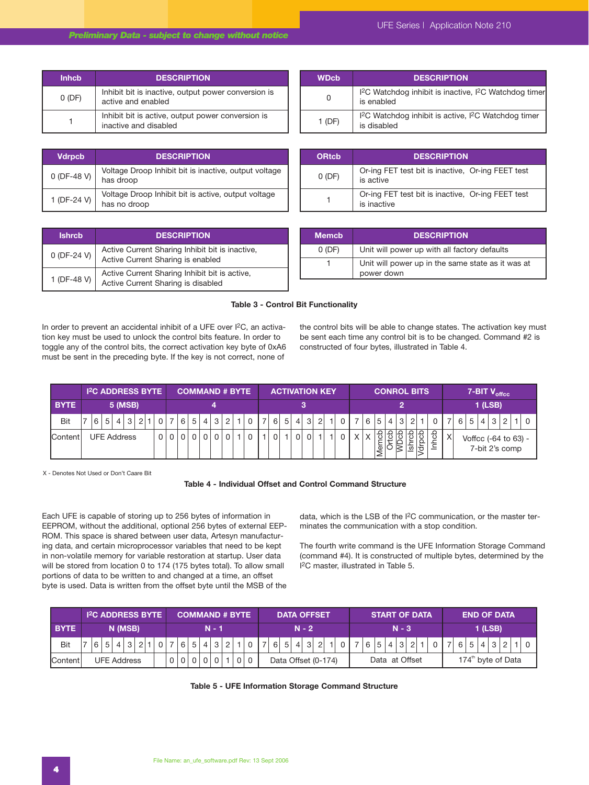| <b>Inhcb</b> | <b>DESCRIPTION</b>                                                         |
|--------------|----------------------------------------------------------------------------|
| 0(DF)        | Inhibit bit is inactive, output power conversion is<br>active and enabled  |
|              | Inhibit bit is active, output power conversion is<br>inactive and disabled |

| <b>Vdrpcb</b> | <b>DESCRIPTION</b>                                                  |
|---------------|---------------------------------------------------------------------|
| $0$ (DF-48 V) | Voltage Droop Inhibit bit is inactive, output voltage<br>has droop  |
| 1 (DF-24 V)   | Voltage Droop Inhibit bit is active, output voltage<br>has no droop |

| <b>Ishrcb</b> | <b>DESCRIPTION</b>                                                                   |
|---------------|--------------------------------------------------------------------------------------|
| 0 (DF-24 V)   | Active Current Sharing Inhibit bit is inactive,<br>Active Current Sharing is enabled |
| 1 (DF-48 V)   | Active Current Sharing Inhibit bit is active,<br>Active Current Sharing is disabled  |

| .     | ессони поли                                                                                  |
|-------|----------------------------------------------------------------------------------------------|
|       | I <sup>2</sup> C Watchdog inhibit is inactive, I <sup>2</sup> C Watchdog timer<br>is enabled |
| 1(DF) | I <sup>2</sup> C Watchdog inhibit is active, I <sup>2</sup> C Watchdog timer<br>is disabled  |
|       |                                                                                              |

| <b>ORtcb</b> | <b>DESCRIPTION</b>                                               |
|--------------|------------------------------------------------------------------|
| 0(DF)        | Or-ing FET test bit is inactive, Or-ing FEET test<br>is active   |
|              | Or-ing FET test bit is inactive, Or-ing FEET test<br>is inactive |

| <b>Memcb</b> | <b>DESCRIPTION</b>                                              |
|--------------|-----------------------------------------------------------------|
| 0(DF)        | Unit will power up with all factory defaults                    |
|              | Unit will power up in the same state as it was at<br>power down |

#### **Table 3 - Control Bit Functionality**

In order to prevent an accidental inhibit of a UFE over I<sup>2</sup>C, an activation key must be used to unlock the control bits feature. In order to toggle any of the control bits, the correct activation key byte of 0xA6 must be sent in the preceding byte. If the key is not correct, none of

the control bits will be able to change states. The activation key must be sent each time any control bit is to be changed. Command #2 is constructed of four bytes, illustrated in Table 4.

|             | <b>I<sup>2</sup>C ADDRESS BYTE</b> |   |                |                |             | <b>COMMAND # BYTE</b> ' |  |   |   |   |  |  |  |  |   | <b>ACTIVATION KEY</b> |   |                |   |                | <b>CONROL BITS</b> |          |    |     |                |                |   |         |              | 7-BIT V <sub>offcc</sub> |          |   |                                        |   |  |  |  |
|-------------|------------------------------------|---|----------------|----------------|-------------|-------------------------|--|---|---|---|--|--|--|--|---|-----------------------|---|----------------|---|----------------|--------------------|----------|----|-----|----------------|----------------|---|---------|--------------|--------------------------|----------|---|----------------------------------------|---|--|--|--|
| <b>BYTE</b> |                                    |   |                |                | 5 (MSB)     |                         |  |   |   |   |  |  |  |  |   |                       |   |                |   |                |                    |          |    |     |                |                |   |         |              |                          |          |   | $1$ (LSB)                              |   |  |  |  |
| Bit         |                                    | 6 | 5 <sup>1</sup> | $\overline{4}$ | 3           |                         |  | 6 | 5 | 4 |  |  |  |  | ⇁ | 6 <sup>1</sup>        | 5 | $\vert$        | 3 | $\overline{2}$ |                    |          |    | 6 5 | $\overline{4}$ | 3 <sup>1</sup> |   |         | 0            | $\overline{7}$           | $6 \mid$ | 5 | $\vert$                                | 3 |  |  |  |
| Content     |                                    |   |                |                | UFE Address |                         |  |   |   |   |  |  |  |  |   |                       |   | $\overline{0}$ |   |                |                    | $\times$ | lΧ | உ   |                |                | ᢦ | ௨<br>ੇਰ | do<br>∸<br>_ | X                        |          |   | Voffcc (-64 to 63) -<br>7-bit 2's comp |   |  |  |  |

X - Denotes Not Used or Don't Caare Bit

## **Table 4 - Individual Offset and Control Command Structure**

Each UFE is capable of storing up to 256 bytes of information in EEPROM, without the additional, optional 256 bytes of external EEP-ROM. This space is shared between user data, Artesyn manufacturing data, and certain microprocessor variables that need to be kept in non-volatile memory for variable restoration at startup. User data will be stored from location 0 to 174 (175 bytes total). To allow small portions of data to be written to and changed at a time, an offset byte is used. Data is written from the offset byte until the MSB of the

data, which is the LSB of the I2C communication, or the master terminates the communication with a stop condition.

The fourth write command is the UFE Information Storage Command (command #4). It is constructed of multiple bytes, determined by the I2C master, illustrated in Table 5.

|             | <b>I<sup>2</sup>C ADDRESS BYTE</b> | <b>COMMAND # BYTE '</b> | <b>DATA OFFSET</b>                      | <b>ISTART OF DATA</b>    | LEND OF DATA !                 |  |  |  |  |  |  |
|-------------|------------------------------------|-------------------------|-----------------------------------------|--------------------------|--------------------------------|--|--|--|--|--|--|
| <b>BYTE</b> | N (MSB)                            | $N - 1$                 | $N - 2$                                 | $N - 3$                  | 1 (LSB)                        |  |  |  |  |  |  |
| Bit         | 3<br>5 <sup>1</sup><br>4           | 4 3 <br>12<br>5<br>6    | 6 5 <br>3 <br>2 <sup>1</sup><br>$\vert$ | $\mathbf{3}$<br>$\Omega$ |                                |  |  |  |  |  |  |
| Content     | <b>UFE Address</b>                 |                         | Data Offset (0-174)                     | Data at Offset           | 174 <sup>th</sup> byte of Data |  |  |  |  |  |  |

**Table 5 - UFE Information Storage Command Structure**

| UFE Series   Application Note 210 |  |  |
|-----------------------------------|--|--|
|-----------------------------------|--|--|

**WDcb DESCRIPTION**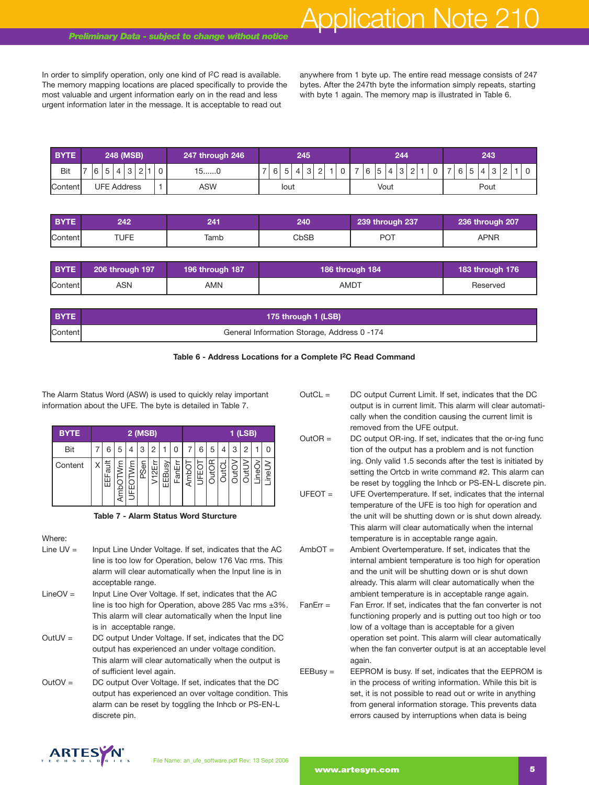# Application Note 210

In order to simplify operation, only one kind of I<sup>2</sup>C read is available. The memory mapping locations are placed specifically to provide the most valuable and urgent information early on in the read and less urgent information later in the message. It is acceptable to read out

anywhere from 1 byte up. The entire read message consists of 247 bytes. After the 247th byte the information simply repeats, starting with byte 1 again. The memory map is illustrated in Table 6.

| <b>BYTE</b> | 248 (MSB) |                    |                                                 |     | 247 through 246 |               | 245 |   |      |             | 244         |  |  |  |   |                                  |   | 243     |               |  |  |                          |         |  |  |  |  |  |
|-------------|-----------|--------------------|-------------------------------------------------|-----|-----------------|---------------|-----|---|------|-------------|-------------|--|--|--|---|----------------------------------|---|---------|---------------|--|--|--------------------------|---------|--|--|--|--|--|
| Bit         |           |                    | 16<br>$\sim$<br>$\sim$<br>C<br>U<br>◡<br>ັ<br>∼ |     | $15$ $C$        | $\rightarrow$ | 6   | 5 | 4    | $\sim$<br>ັ | $\sim$<br>∼ |  |  |  | 6 | $\overline{ }$<br><b>12</b><br>J | 4 | $\circ$ | $\Omega$<br>- |  |  | $\overline{\phantom{a}}$ | G.<br>U |  |  |  |  |  |
| Content     |           | <b>UFE Address</b> |                                                 | ASW | lout            |               |     |   | Vout |             |             |  |  |  |   |                                  |   |         | Pout          |  |  |                          |         |  |  |  |  |  |

| <b>BYTE</b> | 242  |      | 240  | 239 through 237 | 236 through 207 |
|-------------|------|------|------|-----------------|-----------------|
| Content     | TUFE | Tamb | CbSB | <b>DOT</b>      | APNR            |

| <b>BYTE</b> | 206 through 197 <b>'</b> | 196 through 187 | 186 through 184 | 183 through 176 |
|-------------|--------------------------|-----------------|-----------------|-----------------|
| Content     | ASN                      | AMN             | AMDT            | Reserved        |

| <b>BYTE</b> | 175 through 1 (LSB)                         |
|-------------|---------------------------------------------|
| Contentl    | General Information Storage, Address 0 -174 |



The Alarm Status Word (ASW) is used to quickly relay important information about the UFE. The byte is detailed in Table 7.

| <b>BYTE</b> | 2 (MSB) |   |   |      |         |       |        | 1 (LSB) |   |   |   |   |   |                               |       |  |
|-------------|---------|---|---|------|---------|-------|--------|---------|---|---|---|---|---|-------------------------------|-------|--|
| Bit         | 6       | 5 | 4 | 3    | 2       |       |        |         | 6 | 5 | 4 | 3 | 2 |                               | U     |  |
| Content     | ā<br>⊞  | ⋚ | ₹ | PSer | È,<br>٣ | EEBus | ೯<br>ш |         |   |   | 픈 | € | ∓ | Φ<br>$\overline{\phantom{0}}$ | jeqi. |  |

**Table 7 - Alarm Status Word Sturcture**

Where:

- Line  $UV =$  Input Line Under Voltage. If set, indicates that the AC line is too low for Operation, below 176 Vac rms. This alarm will clear automatically when the Input line is in acceptable range.
- LineOV = Input Line Over Voltage. If set, indicates that the AC line is too high for Operation, above 285 Vac rms ±3%. This alarm will clear automatically when the Input line is in acceptable range.
- OutUV = DC output Under Voltage. If set, indicates that the DC output has experienced an under voltage condition. This alarm will clear automatically when the output is of sufficient level again.
- OutOV = DC output Over Voltage. If set, indicates that the DC output has experienced an over voltage condition. This alarm can be reset by toggling the Inhcb or PS-EN-L discrete pin.

OutCL = DC output Current Limit. If set, indicates that the DC output is in current limit. This alarm will clear automatically when the condition causing the current limit is removed from the UFE output.

- OutOR = DC output OR-ing. If set, indicates that the or-ing func tion of the output has a problem and is not function ing. Only valid 1.5 seconds after the test is initiated by setting the Ortcb in write command #2. This alarm can be reset by toggling the Inhcb or PS-EN-L discrete pin.
- UFEOT = UFE Overtemperature. If set, indicates that the internal temperature of the UFE is too high for operation and the unit will be shutting down or is shut down already. This alarm will clear automatically when the internal temperature is in acceptable range again.
- AmbOT = Ambient Overtemperature. If set, indicates that the internal ambient temperature is too high for operation and the unit will be shutting down or is shut down already. This alarm will clear automatically when the ambient temperature is in acceptable range again.
- FanErr = Fan Error. If set, indicates that the fan converter is not functioning properly and is putting out too high or too low of a voltage than is acceptable for a given operation set point. This alarm will clear automatically when the fan converter output is at an acceptable level again.
- EEBusy = EEPROM is busy. If set, indicates that the EEPROM is in the process of writing information. While this bit is set, it is not possible to read out or write in anything from general information storage. This prevents data errors caused by interruptions when data is being

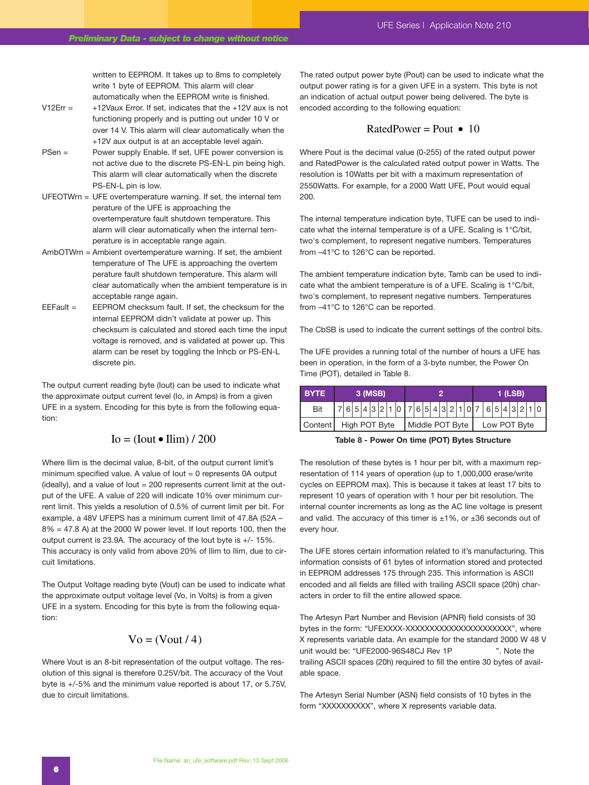written to EEPROM. It takes up to 8ms to completely write 1 byte of EEPROM. This alarm will clear automatically when the EEPROM write is finished.

- V12Err =  $+12$ Vaux Error. If set, indicates that the  $+12V$  aux is not functioning properly and is putting out under 10 V or over 14 V. This alarm will clear automatically when the +12V aux output is at an acceptable level again.
- PSen = Power supply Enable. If set, UFE power conversion is not active due to the discrete PS-EN-L pin being high. This alarm will clear automatically when the discrete PS-EN-L pin is low.
- UFEOTWrn = UFE overtemperature warning. If set, the internal tem perature of the UFE is approaching the overtemperature fault shutdown temperature. This alarm will clear automatically when the internal temperature is in acceptable range again.
- AmbOTWrn = Ambient overtemperature warning. If set, the ambient temperature of The UFE is approaching the overtem perature fault shutdown temperature. This alarm will clear automatically when the ambient temperature is in acceptable range again.
- EEFault = EEPROM checksum fault. If set, the checksum for the internal EEPROM didn't validate at power up. This checksum is calculated and stored each time the input voltage is removed, and is validated at power up. This alarm can be reset by toggling the Inhcb or PS-EN-L discrete pin.

The output current reading byte (Iout) can be used to indicate what the approximate output current level (Io, in Amps) is from a given UFE in a system. Encoding for this byte is from the following equation: te pin.<br>Treading byte (lout) can be used<br>tput current level (lo, in Amps)<br>ncoding for this byte is from th<br> $\text{Io} = (\text{Iout} \cdot \text{Ilim}) / 200$ <br>ecimal value, 8-bit, of the outpl

Where Ilim is the decimal value, 8-bit, of the output current limit's minimum specified value. A value of Iout = 0 represents 0A output (ideally), and a value of Iout = 200 represents current limit at the output of the UFE. A value of 220 will indicate 10% over minimum current limit. This yields a resolution of 0.5% of current limit per bit. For example, a 48V UFEPS has a minimum current limit of 47.8A (52A –  $8\% = 47.8$  A) at the 2000 W power level. If lout reports 100, then the output current is 23.9A. The accuracy of the Iout byte is +/- 15%. This accuracy is only valid from above 20% of Ilim to Ilim, due to circuit limitations.

The Output Voltage reading byte (Vout) can be used to indicate what the approximate output voltage level (Vo, in Volts) is from a given UFE in a system. Encoding for this byte is from the following equation:

## $Vo = (Vout / 4)$

Where Vout is an 8-bit representation of the output voltage. The resolution of this signal is therefore 0.25V/bit. The accuracy of the Vout byte is +/-5% and the minimum value reported is about 17, or 5.75V, due to circuit limitations.

The rated output power byte (Pout) can be used to indicate what the output power rating is for a given UFE in a system. This byte is not an indication of actual output power being delivered. The byte is encoded according to the following equation:

## RatedPower = Pout  $\bullet$  10

Where Pout is the decimal value (0-255) of the rated output power and RatedPower is the calculated rated output power in Watts. The resolution is 10Watts per bit with a maximum representation of 2550Watts. For example, for a 2000 Watt UFE, Pout would equal 200.

The internal temperature indication byte, TUFE can be used to indicate what the internal temperature is of a UFE. Scaling is 1°C/bit, two's complement, to represent negative numbers. Temperatures from –41°C to 126°C can be reported.

The ambient temperature indication byte, Tamb can be used to indicate what the ambient temperature is of a UFE. Scaling is 1°C/bit, two's complement, to represent negative numbers. Temperatures from –41°C to 126°C can be reported.

The CbSB is used to indicate the current settings of the control bits.

The UFE provides a running total of the number of hours a UFE has been in operation, in the form of a 3-byte number, the Power On Time (POT), detailed in Table 8.

| <b>BYTE</b> | 3 (MSB)                                   |  |  |  |  |  |  |  |  |  |  | 1 (LSB)      |  |  |  |  |  |                       |  |  |  |  |  |  |
|-------------|-------------------------------------------|--|--|--|--|--|--|--|--|--|--|--------------|--|--|--|--|--|-----------------------|--|--|--|--|--|--|
| Bit         |                                           |  |  |  |  |  |  |  |  |  |  |              |  |  |  |  |  | $76543210$ $76543210$ |  |  |  |  |  |  |
|             | Content   High POT Byte   Middle POT Byte |  |  |  |  |  |  |  |  |  |  | Low POT Byte |  |  |  |  |  |                       |  |  |  |  |  |  |

**Table 8 - Power On time (POT) Bytes Structure**

The resolution of these bytes is 1 hour per bit, with a maximum representation of 114 years of operation (up to 1,000,000 erase/write cycles on EEPROM max). This is because it takes at least 17 bits to represent 10 years of operation with 1 hour per bit resolution. The internal counter increments as long as the AC line voltage is present and valid. The accuracy of this timer is  $\pm 1\%$ , or  $\pm 36$  seconds out of every hour.

The UFE stores certain information related to it's manufacturing. This information consists of 61 bytes of information stored and protected in EEPROM addresses 175 through 235. This information is ASCII encoded and all fields are filled with trailing ASCII space (20h) characters in order to fill the entire allowed space.

The Artesyn Part Number and Revision (APNR) field consists of 30 bytes in the form: "UFEXXXX-XXXXXXXXXXXXXXXXXXXXXXX", where X represents variable data. An example for the standard 2000 W 48 V unit would be: "UFE2000-96S48CJ Rev 1P ". Note the trailing ASCII spaces (20h) required to fill the entire 30 bytes of available space.

The Artesyn Serial Number (ASN) field consists of 10 bytes in the form "XXXXXXXXXX", where X represents variable data.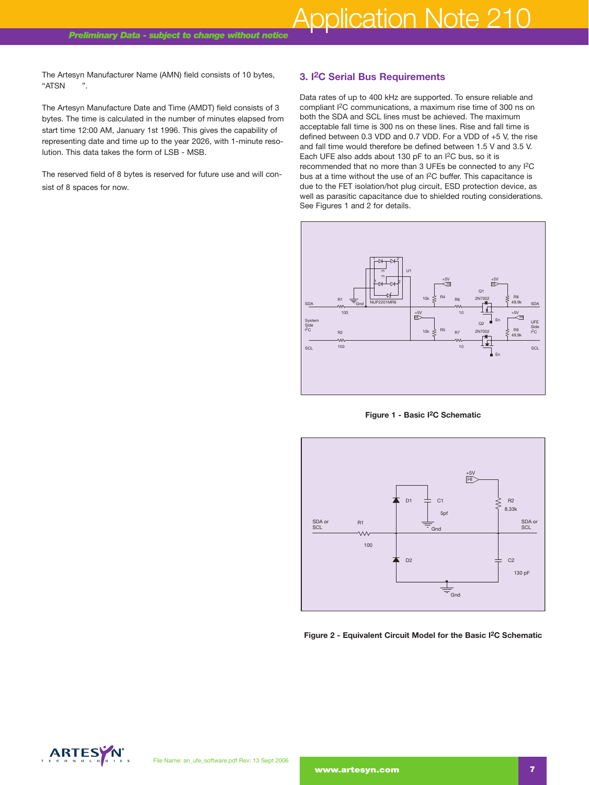The Artesyn Manufacturer Name (AMN) field consists of 10 bytes, "ATSN ".

The Artesyn Manufacture Date and Time (AMDT) field consists of 3 bytes. The time is calculated in the number of minutes elapsed from start time 12:00 AM, January 1st 1996. This gives the capability of representing date and time up to the year 2026, with 1-minute resolution. This data takes the form of LSB - MSB.

The reserved field of 8 bytes is reserved for future use and will consist of 8 spaces for now.

## **3. I2C Serial Bus Requirements**

Data rates of up to 400 kHz are supported. To ensure reliable and compliant I2C communications, a maximum rise time of 300 ns on both the SDA and SCL lines must be achieved. The maximum acceptable fall time is 300 ns on these lines. Rise and fall time is defined between 0.3 VDD and 0.7 VDD. For a VDD of +5 V, the rise and fall time would therefore be defined between 1.5 V and 3.5 V. Each UFE also adds about 130 pF to an I2C bus, so it is recommended that no more than 3 UFEs be connected to any I2C bus at a time without the use of an I2C buffer. This capacitance is due to the FET isolation/hot plug circuit, ESD protection device, as well as parasitic capacitance due to shielded routing considerations. See Figures 1 and 2 for details.



**Figure 1 - Basic I2C Schematic**



**Figure 2 - Equivalent Circuit Model for the Basic I2C Schematic**

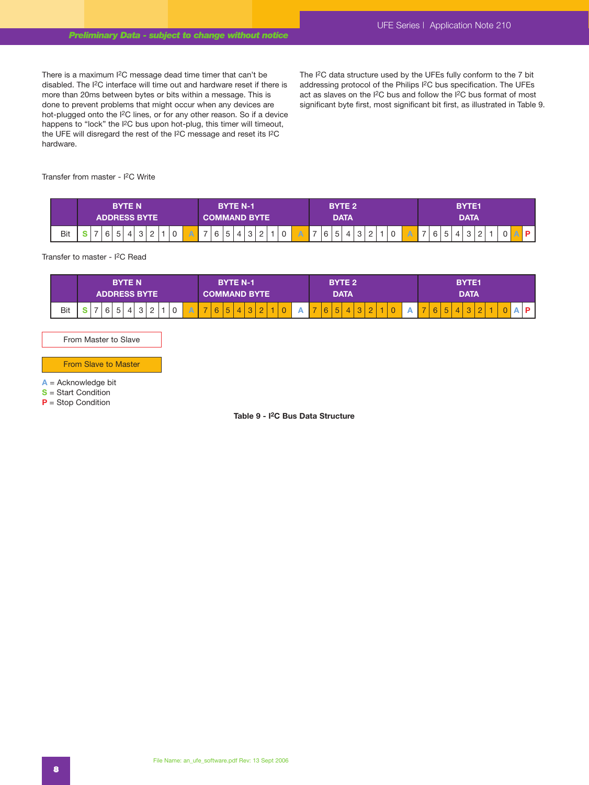There is a maximum I2C message dead time timer that can't be disabled. The I2C interface will time out and hardware reset if there is more than 20ms between bytes or bits within a message. This is done to prevent problems that might occur when any devices are hot-plugged onto the I2C lines, or for any other reason. So if a device happens to "lock" the I2C bus upon hot-plug, this timer will timeout, the UFE will disregard the rest of the I2C message and reset its I2C hardware.

The I<sup>2</sup>C data structure used by the UFEs fully conform to the 7 bit addressing protocol of the Philips I2C bus specification. The UFEs act as slaves on the I2C bus and follow the I2C bus format of most significant byte first, most significant bit first, as illustrated in Table 9.

Transfer from master - I2C Write

|     | <b>BYTE N</b><br><b>ADDRESS BYTE</b> | <b>BYTE N-1</b><br><b>LCOMMAND BYTE</b> '                                      | BYTE 2<br><b>DATA</b>                | <b>BYTE1</b><br><b>DATA</b>                                                      |
|-----|--------------------------------------|--------------------------------------------------------------------------------|--------------------------------------|----------------------------------------------------------------------------------|
| Bit | $\epsilon$<br><u>_</u>               | $\rightarrow$<br>$\overline{\phantom{a}}$<br>0<br>Α<br>$\sim$<br>ັ<br><u>_</u> | 5<br>6<br>$\sim$<br>4<br>ັ<br>ັ<br>- | $\overline{\phantom{a}}$<br>$\circ$<br>C<br>4<br>$\overline{a}$<br>ັ<br><u>_</u> |

Transfer to master - I2C Read

|     | <b>BYTE N</b>         | <b>BYTE N-1</b>                                                                  | <b>BYTE 2</b>                                                 | <b>BYTE1</b>                                             |
|-----|-----------------------|----------------------------------------------------------------------------------|---------------------------------------------------------------|----------------------------------------------------------|
|     | <b>ADDRESS BYTE \</b> | <b>COMMAND BYTE</b>                                                              | <b>DATA</b>                                                   | <b>DATA</b>                                              |
| Bit | ◡<br>ັ<br><u>_</u>    | -<br>$\sqrt{2}$<br>-<br>$\overline{\phantom{0}}$<br>U<br>ັ<br>c<br>๛<br><u>_</u> | $\overline{\phantom{a}}$<br>-<br>L<br>ັ<br>ັ<br>ັ<br><u>_</u> | -<br>$\overline{\phantom{a}}$<br>б<br>ັ<br>ັ<br><u>_</u> |

From Master to Slave

From Slave to Master

**A** = Acknowledge bit

**S** = Start Condition

**P** = Stop Condition

**Table 9 - I2C Bus Data Structure**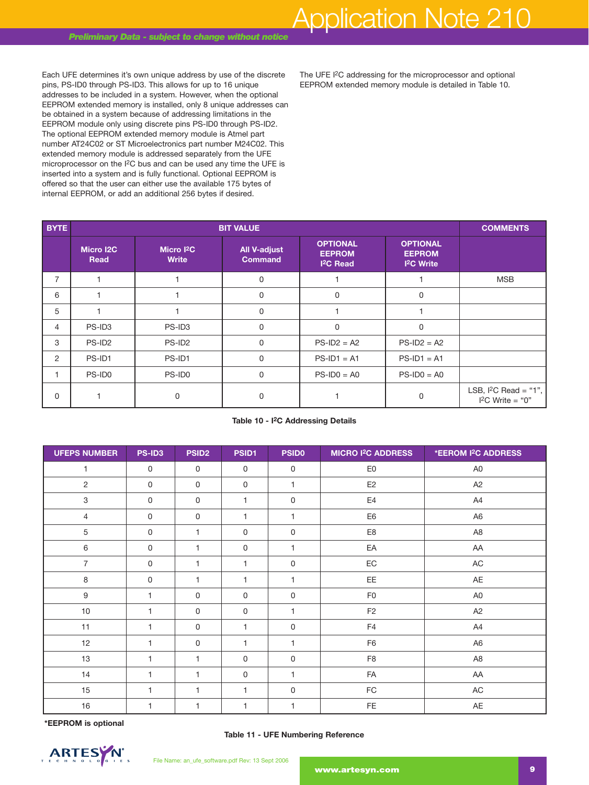Each UFE determines it's own unique address by use of the discrete pins, PS-ID0 through PS-ID3. This allows for up to 16 unique addresses to be included in a system. However, when the optional EEPROM extended memory is installed, only 8 unique addresses can be obtained in a system because of addressing limitations in the EEPROM module only using discrete pins PS-ID0 through PS-ID2. The optional EEPROM extended memory module is Atmel part number AT24C02 or ST Microelectronics part number M24C02. This extended memory module is addressed separately from the UFE microprocessor on the I2C bus and can be used any time the UFE is inserted into a system and is fully functional. Optional EEPROM is offered so that the user can either use the available 175 bytes of internal EEPROM, or add an additional 256 bytes if desired.

The UFE I<sup>2</sup>C addressing for the microprocessor and optional EEPROM extended memory module is detailed in Table 10.

| <b>BYTE</b>    |                    | <b>BIT VALUE</b>            |                                       |                                                                |                                                                 |                                             |  |  |  |  |  |  |  |
|----------------|--------------------|-----------------------------|---------------------------------------|----------------------------------------------------------------|-----------------------------------------------------------------|---------------------------------------------|--|--|--|--|--|--|--|
|                | Micro I2C<br>Read  | Micro $12C$<br><b>Write</b> | <b>All V-adjust</b><br><b>Command</b> | <b>OPTIONAL</b><br><b>EEPROM</b><br><b>I<sup>2</sup>C</b> Read | <b>OPTIONAL</b><br><b>EEPROM</b><br><b>I<sup>2</sup>C</b> Write |                                             |  |  |  |  |  |  |  |
| $\overline{7}$ |                    |                             | $\mathbf 0$                           |                                                                |                                                                 | <b>MSB</b>                                  |  |  |  |  |  |  |  |
| 6              |                    |                             | $\mathbf 0$                           | $\Omega$                                                       | $\mathbf 0$                                                     |                                             |  |  |  |  |  |  |  |
| 5              |                    |                             | $\mathbf 0$                           |                                                                |                                                                 |                                             |  |  |  |  |  |  |  |
| $\overline{4}$ | PS-ID3             | PS-ID3                      | $\mathbf 0$                           | $\Omega$                                                       | $\mathbf 0$                                                     |                                             |  |  |  |  |  |  |  |
| 3              | PS-ID <sub>2</sub> | PS-ID <sub>2</sub>          | 0                                     | $PS$ -ID2 = A2                                                 | $PS$ -ID2 = A2                                                  |                                             |  |  |  |  |  |  |  |
| $\overline{2}$ | PS-ID1             | PS-ID1                      | 0                                     | $PS-ID1 = A1$                                                  | $PS-ID1 = A1$                                                   |                                             |  |  |  |  |  |  |  |
|                | PS-ID0             | PS-ID0                      | $\mathbf 0$                           | $PS-ID0 = AO$                                                  | $PS-ID0 = AO$                                                   |                                             |  |  |  |  |  |  |  |
| 0              |                    | 0                           | 0                                     |                                                                | $\Omega$                                                        | LSB, $12C$ Read = "1",<br>$I2C Write = "0"$ |  |  |  |  |  |  |  |

#### **Table 10 - I2C Addressing Details**

| <b>UFEPS NUMBER</b> | PS-ID3       | <b>PSID2</b> | PSID1        | <b>PSID0</b> | <b>MICRO I<sup>2</sup>C ADDRESS</b> | *EEROM I <sup>2</sup> C ADDRESS |
|---------------------|--------------|--------------|--------------|--------------|-------------------------------------|---------------------------------|
| $\mathbf{1}$        | $\mathbf 0$  | $\mathbf 0$  | 0            | $\mathbf 0$  | E <sub>0</sub>                      | A <sub>0</sub>                  |
| $\overline{c}$      | 0            | $\mathsf{O}$ | 0            | 1            | E <sub>2</sub>                      | A <sub>2</sub>                  |
| 3                   | 0            | $\mathbf 0$  | $\mathbf{1}$ | $\mathbf 0$  | E4                                  | A4                              |
| $\overline{4}$      | $\mathsf{O}$ | $\mathbf 0$  | $\mathbf{1}$ | $\mathbf{1}$ | E <sub>6</sub>                      | A <sub>6</sub>                  |
| 5                   | $\mathbf 0$  | 1            | 0            | $\mathbf 0$  | E8                                  | A <sub>8</sub>                  |
| 6                   | $\mathbf 0$  | $\mathbf{1}$ | 0            | $\mathbf{1}$ | EA                                  | AA                              |
| $\overline{7}$      | $\mathbf 0$  | 1            | $\mathbf{1}$ | $\mathbf 0$  | $\mathsf{EC}$                       | AC                              |
| $\,8\,$             | $\mathbf 0$  | 1.           | $\mathbf{1}$ | $\mathbf{1}$ | EE                                  | AE                              |
| $\boldsymbol{9}$    | $\mathbf{1}$ | $\mathbf 0$  | $\mathbf 0$  | $\mathsf{O}$ | F <sub>0</sub>                      | A <sub>0</sub>                  |
| $10$                | 1            | $\mathbf 0$  | 0            | 1            | F <sub>2</sub>                      | A <sub>2</sub>                  |
| 11                  | $\mathbf{1}$ | $\mathbf 0$  | $\mathbf{1}$ | $\mathbf 0$  | F4                                  | A4                              |
| 12                  | 1            | $\mathbf 0$  | 1            | 1            | F <sub>6</sub>                      | A <sub>6</sub>                  |
| 13                  | $\mathbf{1}$ | 1.           | 0            | $\mathsf{O}$ | F8                                  | A <sub>8</sub>                  |
| 14                  | 1            | 1            | 0            | $\mathbf{1}$ | FA                                  | AA                              |
| 15                  | 1            | 1            | $\mathbf{1}$ | $\mathbf 0$  | FC                                  | AC                              |
| 16                  | 1            | 1            | $\mathbf{1}$ | $\mathbf{1}$ | FE                                  | AE                              |

**\*EEPROM is optional**

**Table 11 - UFE Numbering Reference**

File Name: an\_ufe\_software.pdf Rev: 13 Sept 2006